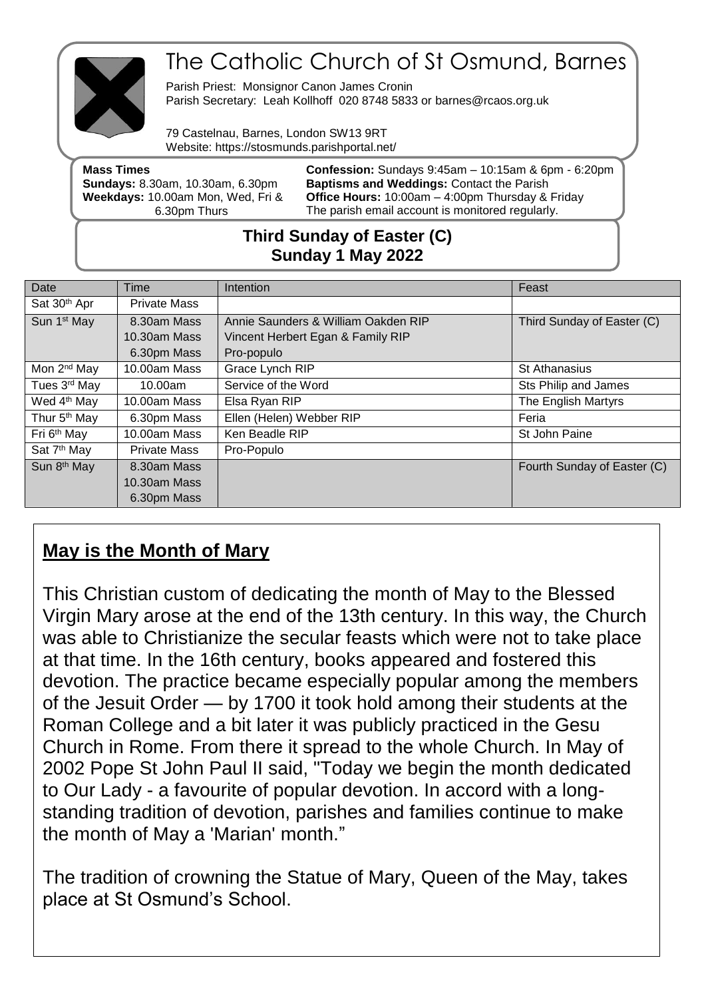

# The Catholic Church of St Osmund, Barnes

Parish Priest: Monsignor Canon James Cronin Parish Secretary: Leah Kollhoff 020 8748 5833 or barnes@rcaos.org.uk

79 Castelnau, Barnes, London SW13 9RT Website: https://stosmunds.parishportal.net/

| <b>Mass Times</b>                       | <b>Confession:</b> Sundays $9:45am - 10:15am$ & $6pm - 6:20pm$ |
|-----------------------------------------|----------------------------------------------------------------|
| <b>Sundays: 8.30am, 10.30am, 6.30pm</b> | <b>Baptisms and Weddings: Contact the Parish</b>               |
| Weekdays: 10.00am Mon, Wed, Fri &       | <b>Office Hours: 10:00am - 4:00pm Thursday &amp; Friday</b>    |
| 6.30pm Thurs                            | The parish email account is monitored regularly.               |
|                                         |                                                                |

### **Third Sunday of Easter (C) Sunday 1 May 2022**

| Date                     | Time                | <b>Intention</b>                    | Feast                       |
|--------------------------|---------------------|-------------------------------------|-----------------------------|
| Sat 30 <sup>th</sup> Apr | <b>Private Mass</b> |                                     |                             |
| Sun 1 <sup>st</sup> May  | 8.30am Mass         | Annie Saunders & William Oakden RIP | Third Sunday of Easter (C)  |
|                          | $10.30$ am Mass     | Vincent Herbert Egan & Family RIP   |                             |
|                          | 6.30pm Mass         | Pro-populo                          |                             |
| Mon 2 <sup>nd</sup> May  | 10.00am Mass        | Grace Lynch RIP                     | <b>St Athanasius</b>        |
| Tues 3rd May             | 10.00am             | Service of the Word                 | Sts Philip and James        |
| Wed 4 <sup>th</sup> May  | 10.00am Mass        | Elsa Ryan RIP                       | The English Martyrs         |
| Thur 5 <sup>th</sup> May | 6.30pm Mass         | Ellen (Helen) Webber RIP            | Feria                       |
| Fri 6 <sup>th</sup> May  | 10.00am Mass        | Ken Beadle RIP                      | St John Paine               |
| Sat 7 <sup>th</sup> May  | <b>Private Mass</b> | Pro-Populo                          |                             |
| Sun 8 <sup>th</sup> May  | 8.30am Mass         |                                     | Fourth Sunday of Easter (C) |
|                          | 10.30am Mass        |                                     |                             |
|                          | 6.30pm Mass         |                                     |                             |

## **May is the Month of Mary**

This Christian custom of dedicating the month of May to the Blessed Virgin Mary arose at the end of the 13th century. In this way, the Church was able to Christianize the secular feasts which were not to take place at that time. In the 16th century, books appeared and fostered this devotion. The practice became especially popular among the members of the Jesuit Order — by 1700 it took hold among their students at the Roman College and a bit later it was publicly practiced in the Gesu Church in Rome. From there it spread to the whole Church. In May of 2002 Pope St John Paul II said, "Today we begin the month dedicated to Our Lady - a favourite of popular devotion. In accord with a longstanding tradition of devotion, parishes and families continue to make the month of May a 'Marian' month."

The tradition of crowning the Statue of Mary, Queen of the May, takes place at St Osmund's School.